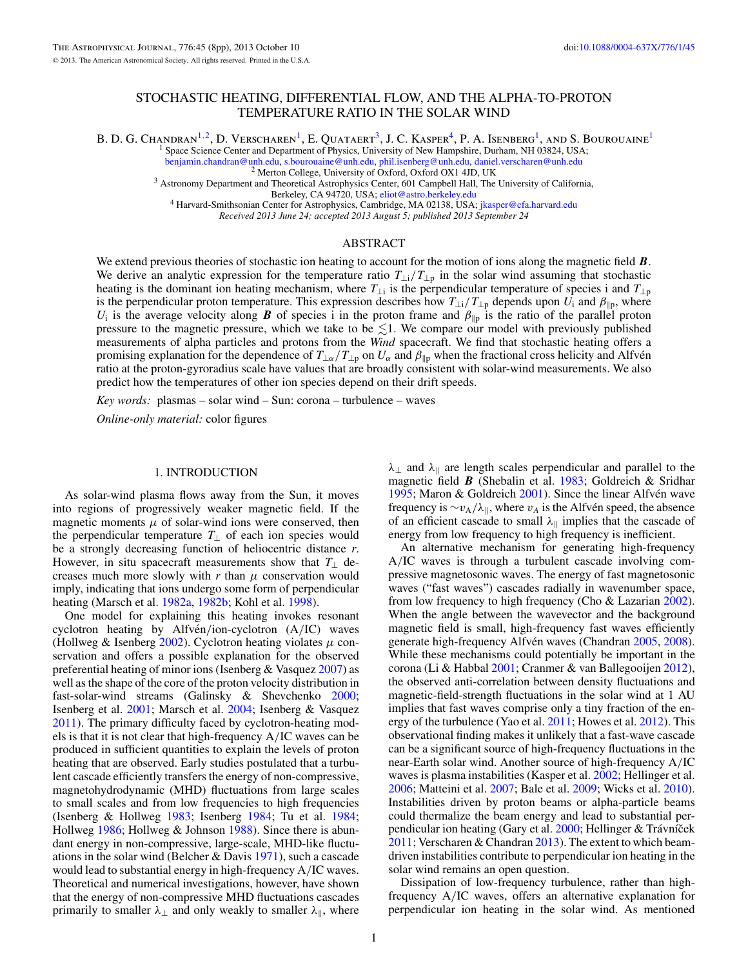# STOCHASTIC HEATING, DIFFERENTIAL FLOW, AND THE ALPHA-TO-PROTON TEMPERATURE RATIO IN THE SOLAR WIND

B. D. G. Chandran<sup>1,2</sup>, D. Verscharen<sup>1</sup>, E. Quataert<sup>3</sup>, J. C. Kasper<sup>4</sup>, P. A. Isenberg<sup>1</sup>, and S. Bourouaine<sup>1</sup>

Space Science Center and Department of Physics, University of New Hampshire, Durham, NH 03824, USA; benjamin.chandran@unh.edu, s.bourouaine@unh.edu, phil.isenberg@unh.edu, daniel.verscharen@unh.edu

<sup>2</sup> Merton College, University of Oxford, Oxford OX1 4JD, UK<br><sup>3</sup> Astronomy Department and Theoretical Astrophysics Center, 601 Campbell Hall, The University of California,<br>Berkeley, CA 94720, USA; eliot@astro.berkeley.edu

<sup>4</sup> Harvard-Smithsonian Center for Astrophysics, Cambridge, MA 02138, USA; [jkasper@cfa.harvard.edu](mailto:jkasper@cfa.harvard.edu)

*Received 2013 June 24; accepted 2013 August 5; published 2013 September 24*

### ABSTRACT

We extend previous theories of stochastic ion heating to account for the motion of ions along the magnetic field  $\bm{B}$ . We derive an analytic expression for the temperature ratio  $T_{\perp i}/T_{\perp p}$  in the solar wind assuming that stochastic heating is the dominant ion heating mechanism, where  $T_{\perp i}$  is the perpendicular temperature of species i and  $T_{\perp p}$ is the perpendicular proton temperature. This expression describes how  $T_{\perp i}/T_{\perp p}$  depends upon  $U_i$  and  $\beta_{\parallel p}$ , where *U*<sub>i</sub> is the average velocity along *B* of species i in the proton frame and  $\beta_{\parallel p}$  is the ratio of the parallel proton pressure to the magnetic pressure, which we take to be  $\lesssim$ 1. We compare our model with previously published measurements of alpha particles and protons from the *Wind* spacecraft. We find that stochastic heating offers a promising explanation for the dependence of  $T_{\perp\alpha}/T_{\perp p}$  on  $U_\alpha$  and  $\beta_{\parallel p}$  when the fractional cross helicity and Alfvén ratio at the proton-gyroradius scale have values that are broadly consistent with solar-wind measurements. We also predict how the temperatures of other ion species depend on their drift speeds.

*Key words:* plasmas – solar wind – Sun: corona – turbulence – waves

*Online-only material:* color figures

#### 1. INTRODUCTION

As solar-wind plasma flows away from the Sun, it moves into regions of progressively weaker magnetic field. If the magnetic moments  $\mu$  of solar-wind ions were conserved, then the perpendicular temperature  $T_{\perp}$  of each ion species would be a strongly decreasing function of heliocentric distance *r*. However, in situ spacecraft measurements show that  $T_{\perp}$  decreases much more slowly with  $r$  than  $\mu$  conservation would imply, indicating that ions undergo some form of perpendicular heating (Marsch et al. [1982a,](#page-7-0) [1982b;](#page-7-0) Kohl et al. [1998\)](#page-7-0).

One model for explaining this heating invokes resonant cyclotron heating by Alfvén/ion-cyclotron (A/IC) waves (Hollweg & Isenberg [2002\)](#page-7-0). Cyclotron heating violates *μ* conservation and offers a possible explanation for the observed preferential heating of minor ions (Isenberg & Vasquez [2007\)](#page-7-0) as well as the shape of the core of the proton velocity distribution in fast-solar-wind streams (Galinsky & Shevchenko [2000;](#page-7-0) Isenberg et al. [2001;](#page-7-0) Marsch et al. [2004;](#page-7-0) Isenberg & Vasquez [2011\)](#page-7-0). The primary difficulty faced by cyclotron-heating models is that it is not clear that high-frequency A*/*IC waves can be produced in sufficient quantities to explain the levels of proton heating that are observed. Early studies postulated that a turbulent cascade efficiently transfers the energy of non-compressive, magnetohydrodynamic (MHD) fluctuations from large scales to small scales and from low frequencies to high frequencies (Isenberg & Hollweg [1983;](#page-7-0) Isenberg [1984;](#page-7-0) Tu et al. [1984;](#page-7-0) Hollweg [1986;](#page-7-0) Hollweg & Johnson [1988\)](#page-7-0). Since there is abundant energy in non-compressive, large-scale, MHD-like fluctuations in the solar wind (Belcher & Davis [1971\)](#page-7-0), such a cascade would lead to substantial energy in high-frequency A*/*IC waves. Theoretical and numerical investigations, however, have shown that the energy of non-compressive MHD fluctuations cascades primarily to smaller  $\lambda_{\perp}$  and only weakly to smaller  $\lambda_{\parallel}$ , where

*λ*<sub>⊥</sub> and *λ*<sub>∥</sub> are length scales perpendicular and parallel to the magnetic field *B* (Shebalin et al. [1983;](#page-7-0) Goldreich & Sridhar [1995;](#page-7-0) Maron & Goldreich  $2001$ ). Since the linear Alfvén wave frequency is  $\sim v_A/\lambda_{\parallel}$ , where  $v_A$  is the Alfvén speed, the absence of an efficient cascade to small *λ* implies that the cascade of energy from low frequency to high frequency is inefficient.

An alternative mechanism for generating high-frequency A*/*IC waves is through a turbulent cascade involving compressive magnetosonic waves. The energy of fast magnetosonic waves ("fast waves") cascades radially in wavenumber space, from low frequency to high frequency (Cho & Lazarian [2002\)](#page-7-0). When the angle between the wavevector and the background magnetic field is small, high-frequency fast waves efficiently generate high-frequency Alfvén waves (Chandran  $2005$ , [2008\)](#page-7-0). While these mechanisms could potentially be important in the corona (Li & Habbal [2001;](#page-7-0) Cranmer & van Ballegooijen [2012\)](#page-7-0), the observed anti-correlation between density fluctuations and magnetic-field-strength fluctuations in the solar wind at 1 AU implies that fast waves comprise only a tiny fraction of the energy of the turbulence (Yao et al. [2011;](#page-7-0) Howes et al. [2012\)](#page-7-0). This observational finding makes it unlikely that a fast-wave cascade can be a significant source of high-frequency fluctuations in the near-Earth solar wind. Another source of high-frequency A*/*IC waves is plasma instabilities (Kasper et al. [2002;](#page-7-0) Hellinger et al. [2006;](#page-7-0) Matteini et al. [2007;](#page-7-0) Bale et al. [2009;](#page-7-0) Wicks et al. [2010\)](#page-7-0). Instabilities driven by proton beams or alpha-particle beams could thermalize the beam energy and lead to substantial per-pendicular ion heating (Gary et al. [2000;](#page-7-0) Hellinger & Trávníček [2011;](#page-7-0) Verscharen & Chandran [2013\)](#page-7-0). The extent to which beamdriven instabilities contribute to perpendicular ion heating in the solar wind remains an open question.

Dissipation of low-frequency turbulence, rather than highfrequency A*/*IC waves, offers an alternative explanation for perpendicular ion heating in the solar wind. As mentioned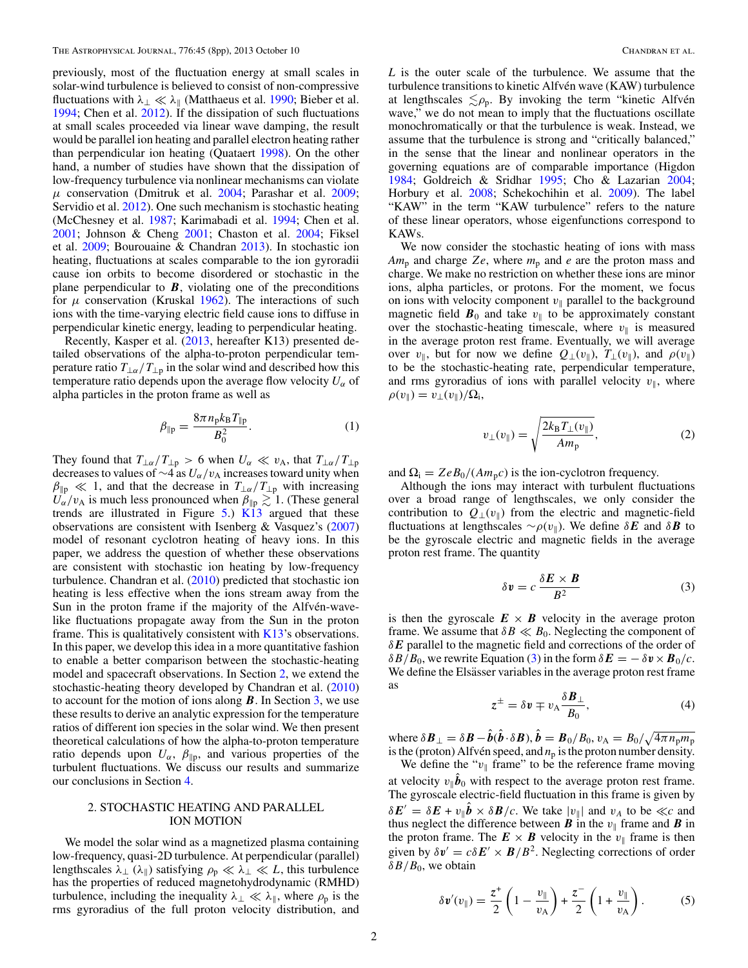<span id="page-1-0"></span>previously, most of the fluctuation energy at small scales in solar-wind turbulence is believed to consist of non-compressive fluctuations with *λ*<sup>⊥</sup> *λ* (Matthaeus et al. [1990;](#page-7-0) Bieber et al. [1994;](#page-7-0) Chen et al. [2012\)](#page-7-0). If the dissipation of such fluctuations at small scales proceeded via linear wave damping, the result would be parallel ion heating and parallel electron heating rather than perpendicular ion heating (Quataert [1998\)](#page-7-0). On the other hand, a number of studies have shown that the dissipation of low-frequency turbulence via nonlinear mechanisms can violate  $\mu$  conservation (Dmitruk et al. [2004;](#page-7-0) Parashar et al. [2009;](#page-7-0) Servidio et al. [2012\)](#page-7-0). One such mechanism is stochastic heating (McChesney et al. [1987;](#page-7-0) Karimabadi et al. [1994;](#page-7-0) Chen et al. [2001;](#page-7-0) Johnson & Cheng [2001;](#page-7-0) Chaston et al. [2004;](#page-7-0) Fiksel et al. [2009;](#page-7-0) Bourouaine & Chandran [2013\)](#page-7-0). In stochastic ion heating, fluctuations at scales comparable to the ion gyroradii cause ion orbits to become disordered or stochastic in the plane perpendicular to  $\bm{B}$ , violating one of the preconditions for  $\mu$  conservation (Kruskal [1962\)](#page-7-0). The interactions of such ions with the time-varying electric field cause ions to diffuse in perpendicular kinetic energy, leading to perpendicular heating.

Recently, Kasper et al. [\(2013,](#page-7-0) hereafter K13) presented detailed observations of the alpha-to-proton perpendicular temperature ratio  $T_{\perp \alpha}/T_{\perp p}$  in the solar wind and described how this temperature ratio depends upon the average flow velocity  $U_{\alpha}$  of alpha particles in the proton frame as well as

$$
\beta_{\parallel p} = \frac{8\pi n_{p}k_{B}T_{\parallel p}}{B_{0}^{2}}.
$$
 (1)

They found that  $T_{\perp\alpha}/T_{\perp p} > 6$  when  $U_{\alpha} \ll v_A$ , that  $T_{\perp\alpha}/T_{\perp p}$ decreases to values of ∼4 as *Uα/v*<sup>A</sup> increases toward unity when  $\beta_{\parallel p} \ll 1$ , and that the decrease in  $T_{\perp \alpha}/T_{\perp p}$  with increasing  $U_{\alpha}/v_{A}$  is much less pronounced when  $\beta_{\parallel p} \gtrsim 1$ . (These general trends are illustrated in Figure  $5$ .)  $\overline{K13}$  $\overline{K13}$  $\overline{K13}$  argued that these observations are consistent with Isenberg & Vasquez's [\(2007\)](#page-7-0) model of resonant cyclotron heating of heavy ions. In this paper, we address the question of whether these observations are consistent with stochastic ion heating by low-frequency turbulence. Chandran et al. [\(2010\)](#page-7-0) predicted that stochastic ion heating is less effective when the ions stream away from the Sun in the proton frame if the majority of the Alfvén-wavelike fluctuations propagate away from the Sun in the proton frame. This is qualitatively consistent with  $K13$ 's observations. In this paper, we develop this idea in a more quantitative fashion to enable a better comparison between the stochastic-heating model and spacecraft observations. In Section 2, we extend the stochastic-heating theory developed by Chandran et al. [\(2010\)](#page-7-0) to account for the motion of ions along *B*. In Section [3,](#page-2-0) we use these results to derive an analytic expression for the temperature ratios of different ion species in the solar wind. We then present theoretical calculations of how the alpha-to-proton temperature ratio depends upon  $U_{\alpha}$ ,  $\beta_{\parallel p}$ , and various properties of the turbulent fluctuations. We discuss our results and summarize our conclusions in Section [4.](#page-6-0)

## 2. STOCHASTIC HEATING AND PARALLEL ION MOTION

We model the solar wind as a magnetized plasma containing low-frequency, quasi-2D turbulence. At perpendicular (parallel) lengthscales  $\lambda_{\perp}$  ( $\lambda_{\parallel}$ ) satisfying  $\rho_{\rm p} \ll \lambda_{\perp} \ll L$ , this turbulence has the properties of reduced magnetohydrodynamic (RMHD) turbulence, including the inequality  $\lambda_{\perp} \ll \lambda_{\parallel}$ , where  $\rho_{\rm p}$  is the rms gyroradius of the full proton velocity distribution, and

*L* is the outer scale of the turbulence. We assume that the turbulence transitions to kinetic Alfvén wave (KAW) turbulence at lengthscales  $\leq \rho_p$ . By invoking the term "kinetic Alfvén wave," we do not mean to imply that the fluctuations oscillate monochromatically or that the turbulence is weak. Instead, we assume that the turbulence is strong and "critically balanced," in the sense that the linear and nonlinear operators in the governing equations are of comparable importance (Higdon [1984;](#page-7-0) Goldreich & Sridhar [1995;](#page-7-0) Cho & Lazarian [2004;](#page-7-0) Horbury et al. [2008;](#page-7-0) Schekochihin et al. [2009\)](#page-7-0). The label "KAW" in the term "KAW turbulence" refers to the nature of these linear operators, whose eigenfunctions correspond to KAWs.

We now consider the stochastic heating of ions with mass  $Am_p$  and charge *Ze*, where  $m_p$  and *e* are the proton mass and charge. We make no restriction on whether these ions are minor ions, alpha particles, or protons. For the moment, we focus on ions with velocity component  $v_{\parallel}$  parallel to the background magnetic field  $\mathbf{B}_0$  and take  $v_{\parallel}$  to be approximately constant over the stochastic-heating timescale, where  $v_{\parallel}$  is measured in the average proton rest frame. Eventually, we will average over *v*<sub>||</sub>, but for now we define  $Q_{\perp}(v_{\parallel}), T_{\perp}(v_{\parallel}),$  and  $\rho(v_{\parallel})$ to be the stochastic-heating rate, perpendicular temperature, and rms gyroradius of ions with parallel velocity  $v_{\parallel}$ , where  $\rho(v_{\parallel}) = v_{\perp}(v_{\parallel})/\Omega_{\rm i},$ 

$$
v_{\perp}(v_{\parallel}) = \sqrt{\frac{2k_{\rm B}T_{\perp}(v_{\parallel})}{Am_{\rm p}}},\tag{2}
$$

and  $\Omega_i = ZeB_0/(Am_p c)$  is the ion-cyclotron frequency.

Although the ions may interact with turbulent fluctuations over a broad range of lengthscales, we only consider the contribution to  $Q_+(v_{\parallel})$  from the electric and magnetic-field fluctuations at lengthscales  $\sim \rho(v_{\parallel})$ . We define  $\delta E$  and  $\delta B$  to be the gyroscale electric and magnetic fields in the average proton rest frame. The quantity

$$
\delta \mathbf{v} = c \frac{\delta \mathbf{E} \times \mathbf{B}}{B^2} \tag{3}
$$

is then the gyroscale  $E \times B$  velocity in the average proton frame. We assume that  $\delta B \ll B_0$ . Neglecting the component of *δE* parallel to the magnetic field and corrections of the order of *δB/B*<sub>0</sub>, we rewrite Equation (3) in the form  $\delta E = -\delta v \times B_0/c$ . We define the Elsässer variables in the average proton rest frame as

$$
z^{\pm} = \delta v \mp v_{A} \frac{\delta \boldsymbol{B}_{\perp}}{B_{0}}, \qquad (4)
$$

where  $\delta \boldsymbol{B}_{\perp} = \delta \boldsymbol{B} - \boldsymbol{b}(\boldsymbol{b} \cdot \delta \boldsymbol{B}), \boldsymbol{b} = \boldsymbol{B}_0/B_0, v_{\rm A} = B_0/\sqrt{4\pi n_{\rm p} m_{\rm p}}$ is the (proton) Alfvén speed, and  $n_p$  is the proton number density.

We define the " $v_{\parallel}$  frame" to be the reference frame moving at velocity  $v_{\parallel}$ *b*<sup>0</sup> with respect to the average proton rest frame. The gyroscale electric-field fluctuation in this frame is given by  $\delta E' = \delta E + v_{\parallel} \hat{b} \times \delta B/c$ . We take  $|v_{\parallel}|$  and  $v_A$  to be  $\ll c$  and thus neglect the difference between  $\boldsymbol{B}$  in the  $v_{\parallel}$  frame and  $\boldsymbol{B}$  in the proton frame. The  $E \times B$  velocity in the  $v_{\parallel}$  frame is then given by  $\delta \mathbf{v}' = c \delta \mathbf{E}' \times \mathbf{B}/B^2$ . Neglecting corrections of order *δB/B*0, we obtain

$$
\delta \mathbf{v}'(v_{\parallel}) = \frac{z^+}{2} \left( 1 - \frac{v_{\parallel}}{v_{\rm A}} \right) + \frac{z^-}{2} \left( 1 + \frac{v_{\parallel}}{v_{\rm A}} \right). \tag{5}
$$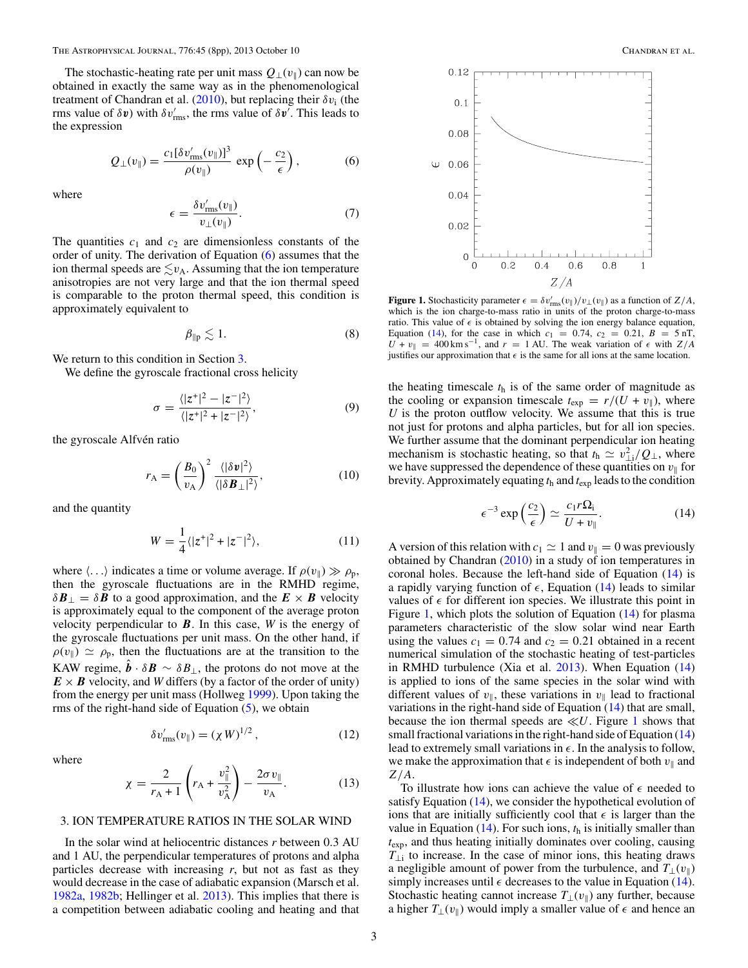<span id="page-2-0"></span>The stochastic-heating rate per unit mass  $Q_{\perp}(v_{\parallel})$  can now be obtained in exactly the same way as in the phenomenological treatment of Chandran et al. [\(2010\)](#page-7-0), but replacing their *δv*<sup>i</sup> (the rms value of  $\delta v$ ) with  $\delta v'_{\rm rms}$ , the rms value of  $\delta v'$ . This leads to the expression

$$
Q_{\perp}(v_{\parallel}) = \frac{c_1[\delta v'_{\rm rms}(v_{\parallel})]^3}{\rho(v_{\parallel})} \exp\left(-\frac{c_2}{\epsilon}\right),\tag{6}
$$

where

$$
\epsilon = \frac{\delta v_{\text{rms}}'(v_{\parallel})}{v_{\perp}(v_{\parallel})}.
$$
\n(7)

The quantities  $c_1$  and  $c_2$  are dimensionless constants of the order of unity. The derivation of Equation (6) assumes that the ion thermal speeds are  $\lesssim v_A$ . Assuming that the ion temperature anisotropies are not very large and that the ion thermal speed is comparable to the proton thermal speed, this condition is approximately equivalent to

$$
\beta_{\parallel p} \lesssim 1. \tag{8}
$$

We return to this condition in Section 3.

We define the gyroscale fractional cross helicity

$$
\sigma = \frac{\langle |z^*|^2 - |z^-|^2 \rangle}{\langle |z^*|^2 + |z^-|^2 \rangle},\tag{9}
$$

the gyroscale Alfvén ratio

$$
r_{\rm A} = \left(\frac{B_0}{v_{\rm A}}\right)^2 \frac{\langle |\delta v|^2 \rangle}{\langle |\delta B_\perp|^2 \rangle},\tag{10}
$$

and the quantity

where

$$
W = \frac{1}{4} \langle |z^+|^2 + |z^-|^2 \rangle, \tag{11}
$$

where  $\langle \ldots \rangle$  indicates a time or volume average. If  $\rho(v_{\parallel}) \gg \rho_{p}$ , then the gyroscale fluctuations are in the RMHD regime,  $\delta$ *B*<sub>⊥</sub> =  $\delta$ *B* to a good approximation, and the  $E \times B$  velocity is approximately equal to the component of the average proton velocity perpendicular to *B*. In this case, *W* is the energy of the gyroscale fluctuations per unit mass. On the other hand, if  $\rho(v_{\parallel}) \simeq \rho_{\rm p}$ , then the fluctuations are at the transition to the KAW regime,  $\mathbf{b} \cdot \delta \mathbf{B} \sim \delta B_{\perp}$ , the protons do not move at the  $E \times B$  velocity, and *W* differs (by a factor of the order of unity) from the energy per unit mass (Hollweg [1999\)](#page-7-0). Upon taking the rms of the right-hand side of Equation  $(5)$ , we obtain

$$
\delta v'_{\rm rms}(v_{\parallel}) = (\chi W)^{1/2},\qquad(12)
$$

$$
\chi = \frac{2}{r_{A} + 1} \left( r_{A} + \frac{v_{\parallel}^{2}}{v_{A}^{2}} \right) - \frac{2\sigma v_{\parallel}}{v_{A}}.
$$
 (13)

# 3. ION TEMPERATURE RATIOS IN THE SOLAR WIND

In the solar wind at heliocentric distances *r* between 0*.*3 AU and 1 AU, the perpendicular temperatures of protons and alpha particles decrease with increasing *r*, but not as fast as they would decrease in the case of adiabatic expansion (Marsch et al. [1982a,](#page-7-0) [1982b;](#page-7-0) Hellinger et al. [2013\)](#page-7-0). This implies that there is a competition between adiabatic cooling and heating and that



**Figure 1.** Stochasticity parameter  $\epsilon = \delta v'_{\text{rms}}(v_{\parallel})/v_{\perp}(v_{\parallel})$  as a function of *Z/A*, which is the ion charge-to-mass ratio in units of the proton charge-to-mass ratio. This value of  $\epsilon$  is obtained by solving the ion energy balance equation, Equation (14), for the case in which  $c_1 = 0.74$ ,  $c_2 = 0.21$ ,  $B = 5$  nT,  $U^1 + v_{\parallel} = 400 \text{ km s}^{-1}$ , and  $r = 1$  AU. The weak variation of  $\epsilon$  with  $Z/A$ justifies our approximation that  $\epsilon$  is the same for all ions at the same location.

the heating timescale  $t<sub>h</sub>$  is of the same order of magnitude as the cooling or expansion timescale  $t_{\exp} = r/(U + v_{\parallel})$ , where *U* is the proton outflow velocity. We assume that this is true not just for protons and alpha particles, but for all ion species. We further assume that the dominant perpendicular ion heating mechanism is stochastic heating, so that  $t_h \simeq v_{\perp i}^2/Q_{\perp}$ , where we have suppressed the dependence of these quantities on  $v_{\parallel}$  for brevity. Approximately equating  $t<sub>h</sub>$  and  $t<sub>exp</sub>$  leads to the condition

$$
\epsilon^{-3} \exp\left(\frac{c_2}{\epsilon}\right) \simeq \frac{c_1 r \Omega_i}{U + v_{\parallel}}.\tag{14}
$$

A version of this relation with  $c_1 \simeq 1$  and  $v_{\parallel} = 0$  was previously obtained by Chandran [\(2010\)](#page-7-0) in a study of ion temperatures in coronal holes. Because the left-hand side of Equation (14) is a rapidly varying function of  $\epsilon$ , Equation (14) leads to similar values of  $\epsilon$  for different ion species. We illustrate this point in Figure 1, which plots the solution of Equation (14) for plasma parameters characteristic of the slow solar wind near Earth using the values  $c_1 = 0.74$  and  $c_2 = 0.21$  obtained in a recent numerical simulation of the stochastic heating of test-particles in RMHD turbulence (Xia et al. [2013\)](#page-7-0). When Equation (14) is applied to ions of the same species in the solar wind with different values of  $v_{\parallel}$ , these variations in  $v_{\parallel}$  lead to fractional variations in the right-hand side of Equation (14) that are small, because the ion thermal speeds are  $\ll U$ . Figure 1 shows that small fractional variations in the right-hand side of Equation (14) lead to extremely small variations in  $\epsilon$ . In the analysis to follow, we make the approximation that  $\epsilon$  is independent of both  $v_{\parallel}$  and *Z/A*.

To illustrate how ions can achieve the value of  $\epsilon$  needed to satisfy Equation (14), we consider the hypothetical evolution of ions that are initially sufficiently cool that  $\epsilon$  is larger than the value in Equation  $(14)$ . For such ions,  $t<sub>h</sub>$  is initially smaller than *t*exp, and thus heating initially dominates over cooling, causing  $T_{\perp i}$  to increase. In the case of minor ions, this heating draws a negligible amount of power from the turbulence, and  $T_{\perp}(v_{\parallel})$ simply increases until  $\epsilon$  decreases to the value in Equation (14). Stochastic heating cannot increase  $T_{\perp}(v_{\parallel})$  any further, because a higher  $T_{\perp}(v_{\parallel})$  would imply a smaller value of  $\epsilon$  and hence an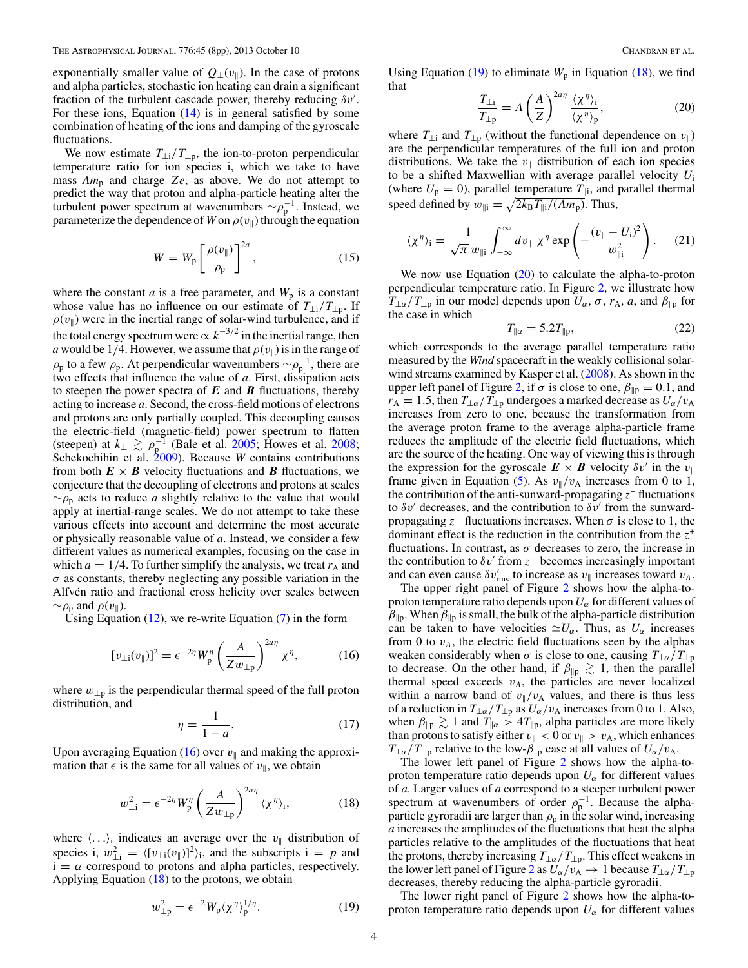<span id="page-3-0"></span>exponentially smaller value of  $Q_{\perp}(v_{\parallel})$ . In the case of protons and alpha particles, stochastic ion heating can drain a significant fraction of the turbulent cascade power, thereby reducing *δv* . For these ions, Equation  $(14)$  is in general satisfied by some combination of heating of the ions and damping of the gyroscale fluctuations.

We now estimate  $T_{\perp i}/T_{\perp p}$ , the ion-to-proton perpendicular temperature ratio for ion species i, which we take to have mass  $Am_p$  and charge  $Ze$ , as above. We do not attempt to predict the way that proton and alpha-particle heating alter the turbulent power spectrum at wavenumbers  $\sim \rho_p^{-1}$ . Instead, we parameterize the dependence of *W* on  $\rho(v_{\parallel})$  through the equation

$$
W = W_{\rm p} \left[ \frac{\rho(v_{\parallel})}{\rho_{\rm p}} \right]^{2a},\tag{15}
$$

where the constant *a* is a free parameter, and  $W_p$  is a constant whose value has no influence on our estimate of *T*⊥i*/T*⊥p. If  $\rho(v_{\parallel})$  were in the inertial range of solar-wind turbulence, and if the total energy spectrum were  $\propto k_{\perp}^{-3/2}$  in the inertial range, then *a* would be 1/4. However, we assume that  $\rho(v_{\parallel})$  is in the range of  $\rho_p$  to a few  $\rho_p$ . At perpendicular wavenumbers ∼ $\rho_p^{-1}$ , there are two effects that influence the value of *a*. First, dissipation acts to steepen the power spectra of  $E$  and  $B$  fluctuations, thereby acting to increase *a*. Second, the cross-field motions of electrons and protons are only partially coupled. This decoupling causes the electric-field (magnetic-field) power spectrum to flatten (steepen) at  $k_{\perp} \gtrsim \rho_{\rm p}^{-1}$  (Bale et al. [2005;](#page-7-0) Howes et al. [2008;](#page-7-0) Schekochihin et al. [2009\)](#page-7-0). Because *W* contains contributions from both  $E \times B$  velocity fluctuations and *B* fluctuations, we conjecture that the decoupling of electrons and protons at scales  $~\sim$ ρ<sub>p</sub> acts to reduce *a* slightly relative to the value that would apply at inertial-range scales. We do not attempt to take these various effects into account and determine the most accurate or physically reasonable value of *a*. Instead, we consider a few different values as numerical examples, focusing on the case in which  $a = 1/4$ . To further simplify the analysis, we treat  $r_A$  and *σ* as constants, thereby neglecting any possible variation in the Alfvén ratio and fractional cross helicity over scales between  $\sim \rho_{\rm p}$  and  $\rho(v_{\parallel})$ .

Using Equation  $(12)$ , we re-write Equation  $(7)$  in the form

$$
[v_{\perp i}(v_{\parallel})]^2 = \epsilon^{-2\eta} W_p^{\eta} \left(\frac{A}{Z w_{\perp p}}\right)^{2a\eta} \chi^{\eta},\tag{16}
$$

where  $w_{\perp p}$  is the perpendicular thermal speed of the full proton distribution, and

$$
\eta = \frac{1}{1 - a}.\tag{17}
$$

Upon averaging Equation (16) over  $v_{\parallel}$  and making the approximation that  $\epsilon$  is the same for all values of  $v_{\parallel}$ , we obtain

$$
w_{\perp i}^2 = \epsilon^{-2\eta} W_p^{\eta} \left(\frac{A}{Z w_{\perp p}}\right)^{2a\eta} \langle \chi^{\eta} \rangle_i, \tag{18}
$$

where  $\langle \ldots \rangle_i$  indicates an average over the  $v_{\parallel}$  distribution of species i,  $w_{\perp i}^2 = \langle [v_{\perp i}(v_{\parallel})]^2 \rangle_i$ , and the subscripts  $i = p$  and  $i = \alpha$  correspond to protons and alpha particles, respectively. Applying Equation  $(18)$  to the protons, we obtain

$$
w_{\perp p}^2 = \epsilon^{-2} W_p \langle \chi^{\eta} \rangle_p^{1/\eta}.
$$
 (19)

Using Equation (19) to eliminate  $W_p$  in Equation (18), we find that

$$
\frac{T_{\perp i}}{T_{\perp p}} = A \left(\frac{A}{Z}\right)^{2a\eta} \frac{\langle \chi^{\eta} \rangle_i}{\langle \chi^{\eta} \rangle_p},\tag{20}
$$

where  $T_{\perp i}$  and  $T_{\perp p}$  (without the functional dependence on  $v_{\parallel}$ ) are the perpendicular temperatures of the full ion and proton distributions. We take the  $v_{\parallel}$  distribution of each ion species to be a shifted Maxwellian with average parallel velocity *U*<sup>i</sup> (where  $U_p = 0$ ), parallel temperature  $T_{\parallel i}$ , and parallel thermal speed defined by  $w_{\parallel i} = \sqrt{2k_B T_{\parallel i}/(Am_p)}$ . Thus,

$$
\langle \chi^{\eta} \rangle_{\mathbf{i}} = \frac{1}{\sqrt{\pi} \, w_{\parallel \mathbf{i}}} \int_{-\infty}^{\infty} dv_{\parallel} \, \chi^{\eta} \exp\left(-\frac{(v_{\parallel} - U_{\mathbf{i}})^2}{w_{\parallel \mathbf{i}}^2}\right). \tag{21}
$$

We now use Equation (20) to calculate the alpha-to-proton perpendicular temperature ratio. In Figure [2,](#page-4-0) we illustrate how *T*<sub>⊥*α*</sub>/*T*<sub>⊥p</sub> in our model depends upon *U<sub>α</sub>*, *σ*, *r*<sub>A</sub>, *a*, and *β*<sub>||p</sub> for the case in which

$$
T_{\parallel \alpha} = 5.2 T_{\parallel \mathrm{p}},\tag{22}
$$

which corresponds to the average parallel temperature ratio measured by the *Wind* spacecraft in the weakly collisional solarwind streams examined by Kasper et al. [\(2008\)](#page-7-0). As shown in the upper left panel of Figure [2,](#page-4-0) if  $\sigma$  is close to one,  $\beta_{\parallel p} = 0.1$ , and  $r_A = 1.5$ , then  $T_{\perp \alpha}/T_{\perp p}$  undergoes a marked decrease as  $U_{\alpha}/v_A$ increases from zero to one, because the transformation from the average proton frame to the average alpha-particle frame reduces the amplitude of the electric field fluctuations, which are the source of the heating. One way of viewing this is through the expression for the gyroscale  $\mathbf{E} \times \mathbf{B}$  velocity  $\delta v'$  in the  $v_{\parallel}$ frame given in Equation [\(5\)](#page-1-0). As  $v_{\parallel}/v_{\rm A}$  increases from 0 to 1, the contribution of the anti-sunward-propagating  $z^+$  fluctuations to  $\delta v'$  decreases, and the contribution to  $\delta v'$  from the sunwardpropagating  $z^-$  fluctuations increases. When  $\sigma$  is close to 1, the dominant effect is the reduction in the contribution from the *z*<sup>+</sup> fluctuations. In contrast, as  $\sigma$  decreases to zero, the increase in the contribution to  $\delta v'$  from  $z^-$  becomes increasingly important and can even cause  $\delta v'_{\rm rms}$  to increase as  $v_{\parallel}$  increases toward  $v_A$ .

The upper right panel of Figure [2](#page-4-0) shows how the alpha-toproton temperature ratio depends upon  $U_{\alpha}$  for different values of  $\beta_{\parallel p}$ . When  $\beta_{\parallel p}$  is small, the bulk of the alpha-particle distribution can be taken to have velocities  $\approx U_\alpha$ . Thus, as  $U_\alpha$  increases from 0 to  $v_A$ , the electric field fluctuations seen by the alphas weaken considerably when  $\sigma$  is close to one, causing  $T_{\perp \alpha}/T_{\perp p}$ to decrease. On the other hand, if  $\beta_{\parallel p} \gtrsim 1$ , then the parallel thermal speed exceeds  $v_A$ , the particles are never localized within a narrow band of  $v_{\parallel}/v_{\rm A}$  values, and there is thus less of a reduction in  $T_{\perp\alpha}/T_{\perp p}$  as  $U_{\alpha}/v_{A}$  increases from 0 to 1. Also, when  $\beta_{\parallel p} \gtrsim 1$  and  $T_{\parallel \alpha} > 4T_{\parallel p}$ , alpha particles are more likely than protons to satisfy either  $v_{\parallel} < 0$  or  $v_{\parallel} > v_A$ , which enhances  $T_{\perp\alpha}/T_{\perp p}$  relative to the low- $\beta_{\parallel p}$  case at all values of  $U_{\alpha}/v_A$ .

The lower left panel of Figure [2](#page-4-0) shows how the alpha-toproton temperature ratio depends upon  $U_{\alpha}$  for different values of *a*. Larger values of *a* correspond to a steeper turbulent power spectrum at wavenumbers of order  $\rho_p^{-1}$ . Because the alphaparticle gyroradii are larger than  $\rho_p$  in the solar wind, increasing *a* increases the amplitudes of the fluctuations that heat the alpha particles relative to the amplitudes of the fluctuations that heat the protons, thereby increasing *T*⊥*α/T*⊥p. This effect weakens in the lower left panel of Figure [2](#page-4-0) as  $U_\alpha/v_A \to 1$  because  $T_{\perp \alpha}/T_{\perp p}$ decreases, thereby reducing the alpha-particle gyroradii.

The lower right panel of Figure [2](#page-4-0) shows how the alpha-toproton temperature ratio depends upon  $U_{\alpha}$  for different values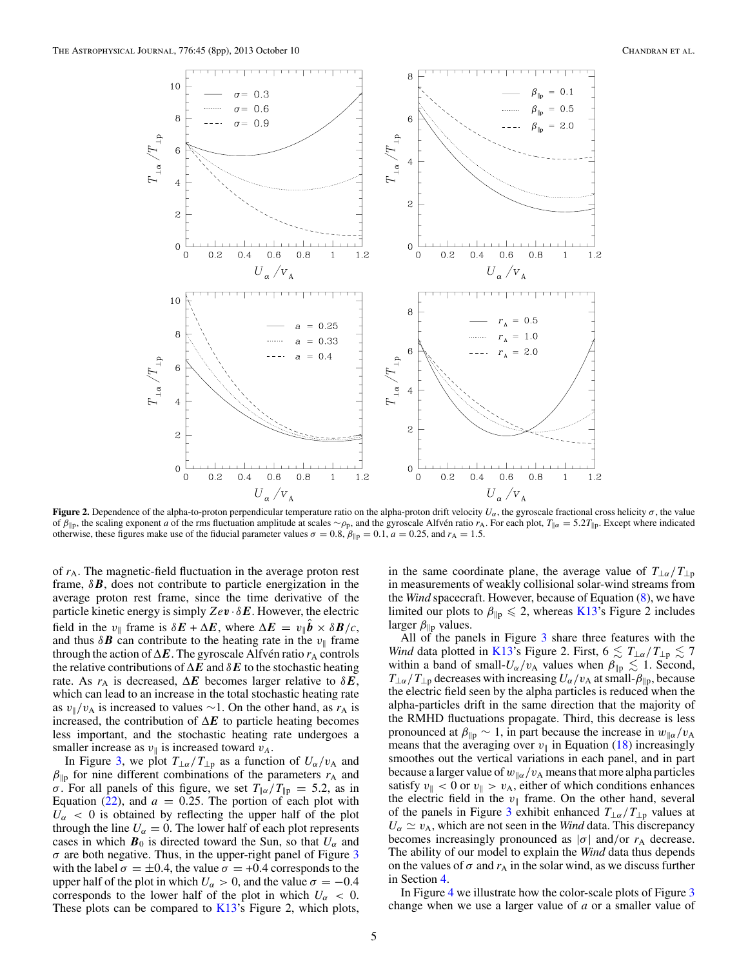<span id="page-4-0"></span>

**Figure 2.** Dependence of the alpha-to-proton perpendicular temperature ratio on the alpha-proton drift velocity  $U_\alpha$ , the gyroscale fractional cross helicity  $\sigma$ , the value of  $\beta_{\parallel p}$ , the scaling exponent *a* of the rms fluctuation amplitude at scales ∼*ρ*<sub>p</sub>, and the gyroscale Alfvén ratio *r*<sub>A</sub>. For each plot, *T*<sub>||*α*</sub> = 5.2*T*<sub>||</sub>*p*. Except where indicated otherwise, these figures make use of the fiducial parameter values *σ* = 0.8,  $β_{\parallel p}$  = 0.1, *a* = 0.25, and *r*<sub>A</sub> = 1.5.

of  $r_A$ . The magnetic-field fluctuation in the average proton rest frame,  $\delta$ *B*, does not contribute to particle energization in the average proton rest frame, since the time derivative of the particle kinetic energy is simply  $Ze$ *v*  $\delta$ *E*. However, the electric field in the  $v_{\parallel}$  frame is  $\delta E + \Delta E$ , where  $\Delta E = v_{\parallel} b \times \delta B / c$ , and thus  $\delta \mathbf{B}$  can contribute to the heating rate in the  $v_{\parallel}$  frame through the action of  $\Delta E$ . The gyroscale Alfven ratio  $r_A$  controls the relative contributions of  $\Delta E$  and  $\delta E$  to the stochastic heating rate. As  $r_A$  is decreased,  $\Delta E$  becomes larger relative to  $\delta E$ , which can lead to an increase in the total stochastic heating rate as  $v_{\parallel}/v_{\rm A}$  is increased to values ~1. On the other hand, as  $r_{\rm A}$  is increased, the contribution of  $\Delta E$  to particle heating becomes less important, and the stochastic heating rate undergoes a smaller increase as  $v_{\parallel}$  is increased toward  $v_A$ .

In Figure [3,](#page-5-0) we plot  $T_{\perp\alpha}/T_{\perp p}$  as a function of  $U_{\alpha}/v_{A}$  and  $\beta_{\parallel p}$  for nine different combinations of the parameters  $r_A$  and *σ*. For all panels of this figure, we set  $T_{\alpha}/T_{\beta} = 5.2$ , as in Equation  $(22)$ , and  $a = 0.25$ . The portion of each plot with  $U_{\alpha}$  < 0 is obtained by reflecting the upper half of the plot through the line  $U_\alpha = 0$ . The lower half of each plot represents cases in which  $\mathbf{B}_0$  is directed toward the Sun, so that  $U_\alpha$  and  $\sigma$  are both negative. Thus, in the upper-right panel of Figure [3](#page-5-0) with the label  $\sigma = \pm 0.4$ , the value  $\sigma = +0.4$  corresponds to the upper half of the plot in which  $U_\alpha > 0$ , and the value  $\sigma = -0.4$ corresponds to the lower half of the plot in which  $U_\alpha$  < 0. These plots can be compared to [K13'](#page-7-0)s Figure 2, which plots,

in the same coordinate plane, the average value of  $T_{\perp \alpha}/T_{\perp p}$ in measurements of weakly collisional solar-wind streams from the *Wind* spacecraft. However, because of Equation [\(8\)](#page-2-0), we have limited our plots to  $\beta_{\parallel p} \leq 2$ , whereas [K13'](#page-7-0)s Figure 2 includes larger  $\beta_{\parallel p}$  values.

All of the panels in Figure [3](#page-5-0) share three features with the *Wind* data plotted in [K13'](#page-7-0)s Figure 2. First,  $6 \leq T_{\perp \alpha}/T_{\perp p} \leq 7$ within a band of small- $U_{\alpha}/v_{\rm A}$  values when  $\beta_{\parallel p} \lesssim 1$ . Second,  $T_{\perp\alpha}/T_{\perp p}$  decreases with increasing  $U_{\alpha}/v_{A}$  at small- $\beta_{\parallel p}$ , because the electric field seen by the alpha particles is reduced when the alpha-particles drift in the same direction that the majority of the RMHD fluctuations propagate. Third, this decrease is less pronounced at  $\beta_{\parallel p} \sim 1$ , in part because the increase in  $w_{\parallel \alpha}/v_A$ means that the averaging over  $v_{\parallel}$  in Equation [\(18\)](#page-3-0) increasingly smoothes out the vertical variations in each panel, and in part because a larger value of  $w_{\alpha}/v_{A}$  means that more alpha particles satisfy  $v_{\parallel} < 0$  or  $v_{\parallel} > v_A$ , either of which conditions enhances the electric field in the  $v_{\parallel}$  frame. On the other hand, several of the panels in Figure [3](#page-5-0) exhibit enhanced *T*⊥*α/T*⊥<sup>p</sup> values at  $U_{\alpha} \simeq v_{\rm A}$ , which are not seen in the *Wind* data. This discrepancy becomes increasingly pronounced as  $|\sigma|$  and/or  $r_A$  decrease. The ability of our model to explain the *Wind* data thus depends on the values of  $\sigma$  and  $r_A$  in the solar wind, as we discuss further in Section [4.](#page-6-0)

In Figure [4](#page-5-0) we illustrate how the color-scale plots of Figure [3](#page-5-0) change when we use a larger value of *a* or a smaller value of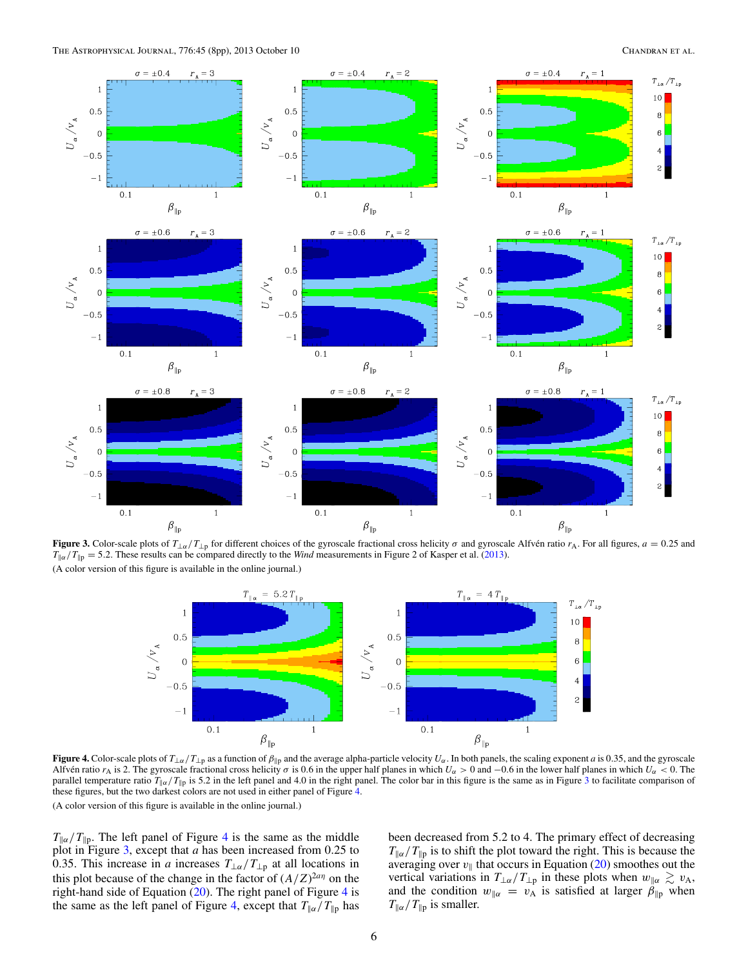<span id="page-5-0"></span>

**Figure 3.** Color-scale plots of  $T_{\perp\alpha}/T_{\perp p}$  for different choices of the gyroscale fractional cross helicity  $\sigma$  and gyroscale Alfvén ratio  $r_A$ . For all figures,  $a = 0.25$  and  $T_{\alpha}/T_{\beta} = 5.2$ . These results can be compared directly to the *Wind* measurements in Figure 2 of Kasper et al. [\(2013\)](#page-7-0). (A color version of this figure is available in the online journal.)



**Figure 4.** Color-scale plots of  $T_{\perp\alpha}/T_{\perp p}$  as a function of  $\beta_{\parallel p}$  and the average alpha-particle velocity  $U_{\alpha}$ . In both panels, the scaling exponent *a* is 0.35, and the gyroscale Alfven ratio  $r_A$  is 2. The gyroscale fractional cross helicity  $\sigma$  is 0.6 in the upper half planes in which  $U_\alpha > 0$  and  $-0.6$  in the lower half planes in which  $U_\alpha < 0$ . The parallel temperature ratio  $T_{\parallel \alpha}/T_{\parallel p}$  is 5.2 in the left panel and 4.0 in the right panel. The color bar in this figure is the same as in Figure 3 to facilitate comparison of these figures, but the two darkest colors are not used in either panel of Figure 4. (A color version of this figure is available in the online journal.)

 $T_{\alpha}/T_{\beta}$ . The left panel of Figure 4 is the same as the middle plot in Figure 3, except that *a* has been increased from 0*.*25 to 0.35. This increase in *a* increases  $T_{\perp\alpha}/T_{\perp p}$  at all locations in this plot because of the change in the factor of  $(A/Z)^{2a\eta}$  on the right-hand side of Equation  $(20)$ . The right panel of Figure 4 is the same as the left panel of Figure 4, except that  $T_{\parallel \alpha}/T_{\parallel p}$  has

been decreased from 5.2 to 4. The primary effect of decreasing  $T_{\alpha}/T_{\beta}$  is to shift the plot toward the right. This is because the averaging over  $v_{\parallel}$  that occurs in Equation [\(20\)](#page-3-0) smoothes out the vertical variations in  $T_{\perp\alpha}/T_{\perp p}$  in these plots when  $w_{\parallel\alpha} \gtrsim v_{\text{A}}$ , and the condition  $w_{\parallel \alpha} = v_{\text{A}}$  is satisfied at larger  $\beta_{\parallel \text{p}}$  when  $T_{\parallel \alpha}/T_{\parallel p}$  is smaller.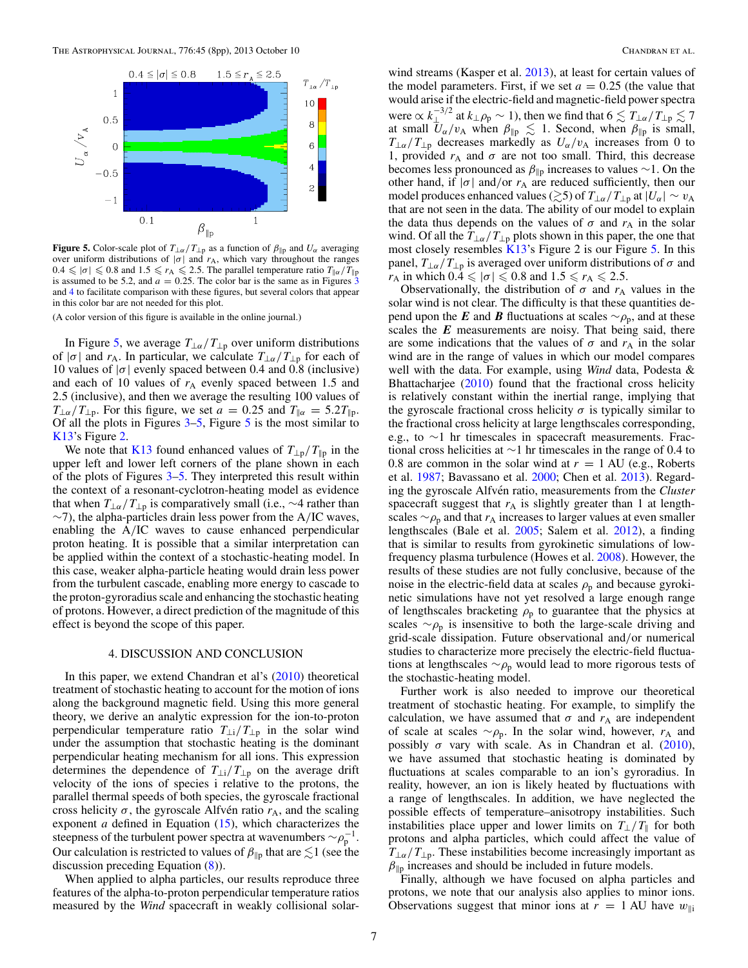<span id="page-6-0"></span>

**Figure 5.** Color-scale plot of  $T_{\perp\alpha}/T_{\perp p}$  as a function of  $\beta_{\parallel p}$  and  $U_{\alpha}$  averaging over uniform distributions of  $|\sigma|$  and  $r_A$ , which vary throughout the ranges  $0.4 \leq \vert \sigma \vert \leq 0.8$  and  $1.5 \leq r_A \leq 2.5$ . The parallel temperature ratio  $T_{\Vert \alpha}/T_{\Vert p}$ is assumed to be 5.2, and  $a = 0.25$ . The color bar is the same as in Figures  $\overline{3}$  $\overline{3}$  $\overline{3}$ and [4](#page-5-0) to facilitate comparison with these figures, but several colors that appear in this color bar are not needed for this plot.

(A color version of this figure is available in the online journal.)

In Figure 5, we average  $T_{\perp\alpha}/T_{\perp p}$  over uniform distributions of  $|\sigma|$  and  $r_A$ . In particular, we calculate  $T_{\perp\alpha}/T_{\perp p}$  for each of 10 values of |*σ*| evenly spaced between 0.4 and 0.8 (inclusive) and each of 10 values of  $r_A$  evenly spaced between 1.5 and 2.5 (inclusive), and then we average the resulting 100 values of  $T_{\perp\alpha}/T_{\perp p}$ . For this figure, we set  $a = 0.25$  and  $T_{\parallel\alpha} = 5.2T_{\parallel p}$ . Of all the plots in Figures  $3-5$ , Figure 5 is the most similar to [K13'](#page-7-0)s Figure [2.](#page-4-0)

We note that [K13](#page-7-0) found enhanced values of  $T_{\perp p}/T_{\parallel p}$  in the upper left and lower left corners of the plane shown in each of the plots of Figures [3–](#page-5-0)5. They interpreted this result within the context of a resonant-cyclotron-heating model as evidence that when  $T_{\perp\alpha}/T_{\perp p}$  is comparatively small (i.e.,  $\sim$ 4 rather than ∼7), the alpha-particles drain less power from the A*/*IC waves, enabling the A*/*IC waves to cause enhanced perpendicular proton heating. It is possible that a similar interpretation can be applied within the context of a stochastic-heating model. In this case, weaker alpha-particle heating would drain less power from the turbulent cascade, enabling more energy to cascade to the proton-gyroradius scale and enhancing the stochastic heating of protons. However, a direct prediction of the magnitude of this effect is beyond the scope of this paper.

#### 4. DISCUSSION AND CONCLUSION

In this paper, we extend Chandran et al's  $(2010)$  theoretical treatment of stochastic heating to account for the motion of ions along the background magnetic field. Using this more general theory, we derive an analytic expression for the ion-to-proton perpendicular temperature ratio  $T_{\perp i}/T_{\perp p}$  in the solar wind under the assumption that stochastic heating is the dominant perpendicular heating mechanism for all ions. This expression determines the dependence of  $T_{\perp i}/T_{\perp p}$  on the average drift velocity of the ions of species i relative to the protons, the parallel thermal speeds of both species, the gyroscale fractional cross helicity  $\sigma$ , the gyroscale Alfvén ratio  $r_A$ , and the scaling exponent *a* defined in Equation [\(15\)](#page-3-0), which characterizes the steepness of the turbulent power spectra at wavenumbers  $\sim \rho_p^{-1}$ . Our calculation is restricted to values of  $\beta_{\parallel p}$  that are  $\lesssim$ 1 (see the discussion preceding Equation [\(8\)](#page-2-0)).

When applied to alpha particles, our results reproduce three features of the alpha-to-proton perpendicular temperature ratios measured by the *Wind* spacecraft in weakly collisional solarwind streams (Kasper et al. [2013\)](#page-7-0), at least for certain values of the model parameters. First, if we set  $a = 0.25$  (the value that would arise if the electric-field and magnetic-field power spectra were  $\propto k_{\perp}^{-3/2}$  at  $k_{\perp}\rho_p \sim 1$ ), then we find that  $6 \lesssim T_{\perp\alpha}/T_{\perp p} \lesssim 7$ at small  $U_{\alpha}/v_A$  when  $\beta_{\parallel p} \leq 1$ . Second, when  $\beta_{\parallel p}$  is small,  $T_{\perp\alpha}/T_{\perp p}$  decreases markedly as  $U_{\alpha}/v_{A}$  increases from 0 to 1, provided  $r_A$  and  $\sigma$  are not too small. Third, this decrease becomes less pronounced as  $\beta_{\parallel p}$  increases to values ~1. On the other hand, if  $|\sigma|$  and/or  $r_A$  are reduced sufficiently, then our model produces enhanced values ( $\gtrsim$ 5) of  $T_{\perp \alpha}/T_{\perp p}$  at  $|U_{\alpha}| \sim v_A$ that are not seen in the data. The ability of our model to explain the data thus depends on the values of  $\sigma$  and  $r_A$  in the solar wind. Of all the *T*<sub>⊥*α*</sub> / *T*<sub>⊥p</sub> plots shown in this paper, the one that most closely resembles [K13'](#page-7-0)s Figure 2 is our Figure 5. In this panel,  $T_{\perp \alpha}/T_{\perp p}$  is averaged over uniform distributions of  $\sigma$  and *r*<sub>A</sub> in which  $0.4 \le |\sigma| \le 0.8$  and  $1.5 \le r_A \le 2.5$ .

Observationally, the distribution of  $\sigma$  and  $r_A$  values in the solar wind is not clear. The difficulty is that these quantities depend upon the *E* and *B* fluctuations at scales  $\sim \rho_p$ , and at these scales the *E* measurements are noisy. That being said, there are some indications that the values of  $\sigma$  and  $r_A$  in the solar wind are in the range of values in which our model compares well with the data. For example, using *Wind* data, Podesta & Bhattacharjee [\(2010\)](#page-7-0) found that the fractional cross helicity is relatively constant within the inertial range, implying that the gyroscale fractional cross helicity  $\sigma$  is typically similar to the fractional cross helicity at large lengthscales corresponding, e.g., to ∼1 hr timescales in spacecraft measurements. Fractional cross helicities at ∼1 hr timescales in the range of 0.4 to 0.8 are common in the solar wind at  $r = 1$  AU (e.g., Roberts et al. [1987;](#page-7-0) Bavassano et al. [2000;](#page-7-0) Chen et al. [2013\)](#page-7-0). Regarding the gyroscale Alfvén ratio, measurements from the *Cluster* spacecraft suggest that  $r_A$  is slightly greater than 1 at lengthscales  $\sim \rho_p$  and that  $r_A$  increases to larger values at even smaller lengthscales (Bale et al. [2005;](#page-7-0) Salem et al. [2012\)](#page-7-0), a finding that is similar to results from gyrokinetic simulations of lowfrequency plasma turbulence (Howes et al. [2008\)](#page-7-0). However, the results of these studies are not fully conclusive, because of the noise in the electric-field data at scales  $\rho_p$  and because gyrokinetic simulations have not yet resolved a large enough range of lengthscales bracketing  $\rho_p$  to guarantee that the physics at scales  $~\sim \rho_p$  is insensitive to both the large-scale driving and grid-scale dissipation. Future observational and*/*or numerical studies to characterize more precisely the electric-field fluctuations at lengthscales ∼*ρ*<sub>p</sub> would lead to more rigorous tests of the stochastic-heating model.

Further work is also needed to improve our theoretical treatment of stochastic heating. For example, to simplify the calculation, we have assumed that  $\sigma$  and  $r_A$  are independent of scale at scales  $\sim \rho_p$ . In the solar wind, however,  $r_A$  and possibly  $\sigma$  vary with scale. As in Chandran et al. [\(2010\)](#page-7-0), we have assumed that stochastic heating is dominated by fluctuations at scales comparable to an ion's gyroradius. In reality, however, an ion is likely heated by fluctuations with a range of lengthscales. In addition, we have neglected the possible effects of temperature–anisotropy instabilities. Such instabilities place upper and lower limits on  $T_{\perp}/T_{\parallel}$  for both protons and alpha particles, which could affect the value of  $T_{\perp\alpha}/T_{\perp p}$ . These instabilities become increasingly important as  $\beta_{\parallel p}$  increases and should be included in future models.

Finally, although we have focused on alpha particles and protons, we note that our analysis also applies to minor ions. Observations suggest that minor ions at  $r = 1$  AU have  $w_{\parallel i}$